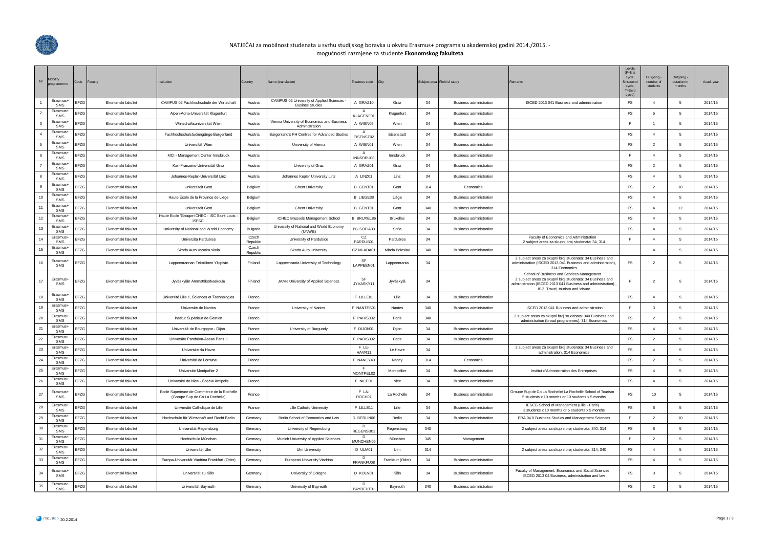

## NATJEČAJ za mobilnost studenata u svrhu studijskog boravka u okviru Erasmus+ programa u akademskoj godini 2014./2015. -

mogućnosti razmjene za studente **Ekonomskog fakulteta**

| $\mathsf{Nr}$           | Mobility<br>programmme | Code<br>Faculty |                           | Institution                                                                   | Country           | Name (translation)                                                   | Erasmus code City         |                  |        | Subject area Field of study    | Remarks                                                                                                                                                                                                   | $(F = f \text{irs})$<br>cycle,<br>S=second<br>cycle,<br>$T =$ third<br>cycle) | Outgoing -<br>number of<br>students | Outgoing<br>duration in<br>months | Acad. year |
|-------------------------|------------------------|-----------------|---------------------------|-------------------------------------------------------------------------------|-------------------|----------------------------------------------------------------------|---------------------------|------------------|--------|--------------------------------|-----------------------------------------------------------------------------------------------------------------------------------------------------------------------------------------------------------|-------------------------------------------------------------------------------|-------------------------------------|-----------------------------------|------------|
|                         | Erasmus+<br>SMS        | EFZG            | Ekonomski fakultet        | CAMPUS 02 Fachhochschule der Wirtschaft                                       | Austria           | CAMPUS 02 University of Applied Sciences -<br><b>Busines Studies</b> | A GRAZ10                  | Graz             | 34     | <b>Business administration</b> | ISCED 2013 041 Business and administration                                                                                                                                                                | FS                                                                            | $\overline{4}$                      | -5                                | 2014/15    |
| $\overline{2}$          | Erasmus+<br>SMS        | EFZG            | <b>Ekonomski fakultet</b> | Alpen-Adria-Universität Klagenfurt                                            | Austria           |                                                                      | KLAGENF01                 | Klagenfurt       | 34     | <b>Business administration</b> |                                                                                                                                                                                                           | <b>FS</b>                                                                     | -5                                  | -5                                | 2014/15    |
| $\overline{\mathbf{3}}$ | Erasmus+<br><b>SMS</b> | EFZG            | Ekonomski fakultet        | Wirtschaftsuniversität Wien                                                   | Austria           | Vienna University of Economics and Business<br>Administration        | A WIEN05                  | Wien             | 34     | <b>Business administration</b> |                                                                                                                                                                                                           | F.                                                                            | $\overline{1}$                      | 5                                 | 2014/15    |
| $\overline{4}$          | Frasmus+<br>SMS        | EFZG            | Ekonomski fakultet        | Fachhochschulstudiengänge Burgenland                                          | Austria           | Burgenland's FH Centres for Advanced Studies                         | $\mathsf{A}$<br>EISENST02 | Eisenstadt       | $34\,$ | <b>Business administration</b> |                                                                                                                                                                                                           | $\mathop{\textsf{FS}}$                                                        | $\overline{4}$                      | 5                                 | 2014/15    |
| 5                       | Erasmus+<br>SMS        | EFZG            | Ekonomski fakultet        | Universität Wien                                                              | Austria           | University of Vienna                                                 | A WIEN01                  | Wien             | 34     | <b>Business administration</b> |                                                                                                                                                                                                           | $\mathop{\textsf{FS}}$                                                        | $\overline{2}$                      | -5                                | 2014/15    |
| 6                       | Erasmus+<br>SMS        | EFZG            | Ekonomski fakultet        | MCI - Management Center Innsbruck                                             | Austria           |                                                                      | INNSBRU08                 | Innsbruck        | 34     | Business administration        |                                                                                                                                                                                                           | F.                                                                            | $\overline{4}$                      | 5                                 | 2014/15    |
| $\overline{7}$          | Erasmus+<br>SMS        | EFZG            | <b>Ekonomski fakultet</b> | Karl-Franzens-Universität Graz                                                | Austria           | University of Graz                                                   | A GRAZ01                  | Graz             | 34     | <b>Business administration</b> |                                                                                                                                                                                                           | $\mathop{\textsf{FS}}$                                                        | $\overline{2}$                      | -5                                | 2014/15    |
| 8                       | Erasmus+<br><b>SMS</b> | EFZG            | Ekonomski fakultet        | Johannes-Kepler-Universität Linz                                              | Austria           | Johannes Kepler University Linz                                      | A LINZ01                  | Linz             | 34     | <b>Business administration</b> |                                                                                                                                                                                                           | FS                                                                            | $\overline{4}$                      | - 5                               | 2014/15    |
| 9                       | Frasmus+<br><b>SMS</b> | EFZG            | Ekonomski fakultet        | Universiteit Gent                                                             | Belgium           | <b>Ghent University</b>                                              | B GENT01                  | Gent             | 314    | Economics                      |                                                                                                                                                                                                           | $\mathop{\textsf{FS}}$                                                        | $\overline{2}$                      | 10                                | 2014/15    |
| 10                      | Erasmus-<br>SMS        | EFZG            | Ekonomski fakultet        | Haute Ecole de la Province de Liège                                           | Belgium           |                                                                      | B LIEGE38                 | Liège            | 34     | <b>Business administration</b> |                                                                                                                                                                                                           | $\mathop{\textsf{FS}}$                                                        | $\overline{4}$                      | 5                                 | 2014/15    |
| 11                      | Erasmus+<br><b>SMS</b> | EFZG            | Ekonomski fakultet        | Universiteit Gent                                                             | Belgium           | <b>Ghent University</b>                                              | B GENT01                  | Gent             | 340    | Business administration        |                                                                                                                                                                                                           | FS                                                                            | $\overline{4}$                      | 12                                | 2014/15    |
| 12                      | Erasmus+<br>SMS        | EFZG            | Ekonomski fakultet        | Haute Ecole 'Groupe ICHEC - ISC Saint-Louis<br>ISFSC'                         | Belgium           | ICHEC Brussels Management School                                     | BRUXEL86                  | <b>Bruxelles</b> | 34     | <b>Business administration</b> |                                                                                                                                                                                                           | $\mathop{\textsf{FS}}$                                                        | $\overline{4}$                      | -5                                | 2014/15    |
| 13                      | Erasmus+<br>SMS        | EFZG            | Ekonomski fakultet        | University of National and World Economy                                      | Bulgaria          | University of National and World Economy<br>(UNWE)                   | BG SOFIA03                | Sofia            | 34     | <b>Business administration</b> |                                                                                                                                                                                                           | FS                                                                            | $\overline{4}$                      | 5                                 | 2014/15    |
| 14                      | Frasmus+<br><b>SMS</b> | EFZG            | Ekonomski fakultet        | Univerzita Pardubice                                                          | Czech<br>Republic | University of Pardubice                                              | CZ<br>PARDUB01            | Pardubice        | 34     |                                | Faculty of Economics and Administration<br>2 subject areas za skupni broj studenata: 34, 314                                                                                                              | F                                                                             | $\overline{4}$                      | 5                                 | 2014/15    |
| 15                      | Erasmus+<br>SMS        | EFZG            | Ekonomski fakultet        | Skoda Auto Vysoka skola                                                       | Czech<br>Republic | Skoda Auto University                                                | CZ MLADA01                | Mlada Boleslav   | 340    | <b>Business administration</b> |                                                                                                                                                                                                           |                                                                               | $\overline{4}$                      | 5                                 | 2014/15    |
| 16                      | Erasmus+<br>SMS        | EFZG            | Ekonomski fakultet        | Lappeenrannan Teknillinen Yliopisto                                           | Finland           | Lappeenranta University of Technology                                | SF<br>LAPPEEN01           | Lappeenranta     | 34     |                                | 2 subject areas za skupni broj studenata: 34 Business and<br>administration (ISCED 2013 041 Business and administration).<br>314 Economics                                                                | FS                                                                            | $\overline{2}$                      | 5                                 | 2014/15    |
| 17                      | Erasmus+<br><b>SMS</b> | EFZG            | Ekonomski fakultet        | Jyväskylän Ammattikorkeakoulu                                                 | Finland           | JAMK University of Applied Sciences                                  | <b>SF</b><br>JYVASKY11    | Jyväskylä        | 34     |                                | School of Business and Services Management<br>2 subject areas za skupni broj studenata: 34 Business and<br>administration (ISCED 2013 041 Business and administration)<br>812 Travel, tourism and leisure |                                                                               | $\overline{2}$                      | - 5                               | 2014/15    |
| 18                      | Erasmus+<br><b>SMS</b> | EFZG            | Ekonomski fakultet        | Université Lille 1, Sciences et Technologies                                  | France            |                                                                      | F LILLE01                 | Lille            | 34     | <b>Business administration</b> |                                                                                                                                                                                                           | <b>FS</b>                                                                     | $\overline{4}$                      | - 5                               | 2014/15    |
| 19                      | Erasmus+<br><b>SMS</b> | EFZG            | Ekonomski fakultet        | Université de Nantes                                                          | France            | University of Nantes                                                 | NANTES01                  | Nantes           | 340    | <b>Business administration</b> | ISCED 2013 041 Business and administration                                                                                                                                                                | F.                                                                            | $\mathbf{3}$                        | 5                                 | 2014/15    |
| 20                      | Erasmus+<br>SMS        | EFZG            | Ekonomski fakultet        | Institut Supérieur de Gestion                                                 | France            |                                                                      | F PARIS332                | Paris            | 340    |                                | 2 subject areas za skupni broj studenata: 340 Business and<br>administration (broad programmes), 314 Economics                                                                                            | $\mathsf{FS}$                                                                 | $\overline{2}$                      | 5                                 | 2014/15    |
| 21                      | Erasmus+<br>SMS        | EFZG            | Ekonomski fakultet        | Université de Bourgogne - Dijon                                               | France            | University of Burgundy                                               | F DIJON01                 | Dijon            | 34     | <b>Business administration</b> |                                                                                                                                                                                                           | FS                                                                            | $\overline{4}$                      | 5                                 | 2014/15    |
| 22                      | Erasmus+<br>SMS        | EFZG            | Ekonomski fakultet        | Université Panthéon-Assas Paris II                                            | France            |                                                                      | PARIS002                  | Paris            | 34     | <b>Business administration</b> |                                                                                                                                                                                                           | <b>FS</b>                                                                     | $\overline{2}$                      | -5                                | 2014/15    |
| 23                      | Erasmus+<br>SMS        | EFZG            | Ekonomski fakultet        | Université du Havre                                                           | France            |                                                                      | F LE-<br>HAVR11           | Le Havre         | 34     |                                | 2 subject areas za skupni broj studenata: 34 Business and<br>administration, 314 Economics                                                                                                                | $\mathop{\textsf{FS}}$                                                        | $\overline{4}$                      | -5                                | 2014/15    |
| 24                      | Erasmus+<br>SMS        | EFZG            | Ekonomski fakultet        | Université de Lorraine                                                        | France            |                                                                      | NANCY43                   | Nancy            | 314    | Economics                      |                                                                                                                                                                                                           | FS                                                                            | $\overline{2}$                      | 5                                 | 2014/15    |
| 25                      | Erasmus+<br>SMS        | EFZG            | Ekonomski fakultet        | Université Montpellier 2                                                      | France            |                                                                      | -F<br>MONTPEL02           | Montpellier      | 34     | Business administration        | Institut d'Administration des Entreprises                                                                                                                                                                 | FS                                                                            | $\overline{4}$                      | 5                                 | 2014/15    |
| 26                      | Erasmus+<br><b>SMS</b> | EFZG            | Ekonomski fakultet        | Université de Nice - Sophia Antipolis                                         | France            |                                                                      | F NICE01                  | Nice             | 34     | <b>Business administration</b> |                                                                                                                                                                                                           | FS.                                                                           | $\overline{4}$                      | 5                                 | 2014/15    |
| 27                      | Erasmus+<br>SMS        | EFZG            | Ekonomski fakultet        | Ecole Superieure de Commerce de la Rochelle<br>(Groupe Sup de Co La Rochelle) | France            |                                                                      | F LA-<br>ROCH07           | La Rochelle      | 34     | Business administration        | Groupe Sup de Co La Rochelle/ La Rochelle School of Tourism<br>5 students x 10 months or 10 students x 5 months                                                                                           | <b>FS</b>                                                                     | 10                                  | 5                                 | 2014/15    |
| 28                      | Erasmus+<br>SMS        | EFZG            | Ekonomski fakultet        | Université Catholique de Lille                                                | France            | Lille Catholic University                                            | F LILLE11                 | Lille            | 34     | <b>Business administration</b> | IESEG School of Management (Lille - Paris)<br>3 students x 10 months or 6 students x 5 months                                                                                                             | FS                                                                            | 6                                   | -5                                | 2014/15    |
| 29                      | Erasmus+<br><b>SMS</b> | EFZG            | <b>Ekonomski fakultet</b> | Hochschule für Wirtschaft und Recht Berlin                                    | Germany           | Berlin School of Economics and Law                                   | D BERLIN06                | <b>Berlin</b>    | 34     | <b>Business administration</b> | ERA 04.0 Business Studies and Management Sciences                                                                                                                                                         | F.                                                                            | $\overline{2}$                      | 10 <sup>10</sup>                  | 2014/15    |
| 30                      | Erasmus+<br>SMS        | EFZG            | Ekonomski fakultet        | Universität Regensburg                                                        | Germany           | University of Regensburg                                             | D.<br>REGENSB01           | Regensburg       | 340    |                                | 2 subject areas za skupni broj studenata: 340, 314                                                                                                                                                        | <b>FS</b>                                                                     | 8                                   | 5                                 | 2014/15    |
| 31                      | Erasmus+<br>SMS        | EFZG            | Fkonomski fakultet        | Hochschule München                                                            | Germany           | Munich University of Applied Sciences                                | D.<br><b>MUNCHEN06</b>    | München          | 345    | Management                     |                                                                                                                                                                                                           | $\mathbb F$                                                                   | $\overline{2}$                      | -5                                | 2014/15    |
| 32                      | Erasmus+<br><b>SMS</b> | EFZG            | Ekonomski fakultet        | Universität Ulm                                                               | Germany           | Ulm University                                                       | D ULM01                   | Ulm              | 314    |                                | 2 subject areas za skupni broj studenata: 314, 340                                                                                                                                                        | $\mathop{\textsf{FS}}$                                                        | $\overline{4}$                      | 5                                 | 2014/15    |
| 33                      | Erasmus+<br>SMS        | FZG             | Ekonomski fakultet        | Europa-Universität Viadrina Frankfurt (Oder)                                  | Germany           | European University Viadrina                                         | D<br>FRANKFU08            | Frankfurt (Oder) | 34     | <b>Business administration</b> |                                                                                                                                                                                                           | $\mathop{\mathsf{FS}}$                                                        | $\overline{4}$                      | 5                                 | 2014/15    |
| 34                      | Erasmus+<br><b>SMS</b> | EFZG            | Fkonomski fakultet        | Universität zu Köln                                                           | Germany           | University of Cologne                                                | D KOLN01                  | Köln             | 34     | <b>Business administration</b> | Faculty of Management, Economics and Social Sciences<br>ISCED 2013 04 Business, administration and law                                                                                                    | <b>FS</b>                                                                     | $\mathbf{3}$                        | -5                                | 2014/15    |
| 35                      | Erasmus+<br>SMS        | EFZG            | Ekonomski fakultet        | Universität Bayreuth                                                          | Germany           | University of Bayreuth                                               | D<br>BAYREUT01            | Bayreuth         | 340    | <b>Business administration</b> |                                                                                                                                                                                                           | $\mathop{\textsf{FS}}$                                                        | $\overline{2}$                      | 5                                 | 2014/15    |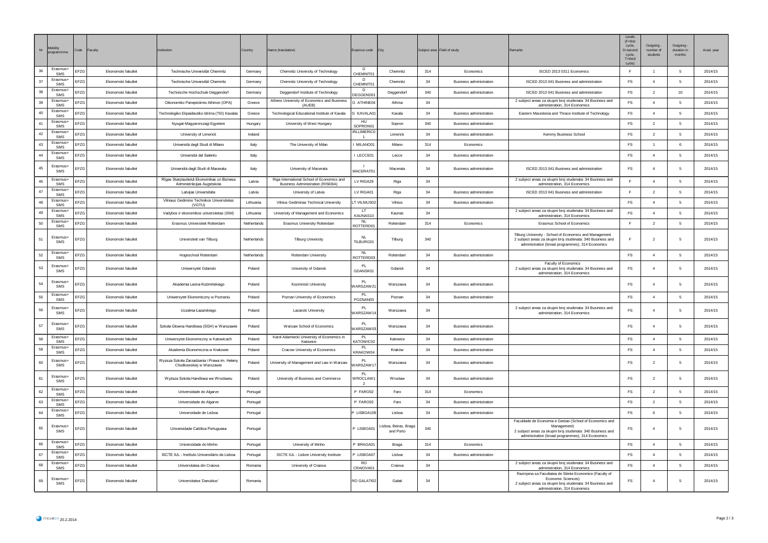| Nr | <b>fobility</b><br>program         | Code<br>Faculty |                    | nstitution                                                               | Country     | Name (translation)                                                                    | Erasmus code                 | City                              |        | Subject area Field of study    | Remarks                                                                                                                                                                                              | Level<br>$(F = first)$<br>cycle,<br>S=second<br>cycle,<br>$T =$ third<br>cycle) | Outgoing<br>number of<br>students | Outgoing<br>duration in<br>months | Acad. year |
|----|------------------------------------|-----------------|--------------------|--------------------------------------------------------------------------|-------------|---------------------------------------------------------------------------------------|------------------------------|-----------------------------------|--------|--------------------------------|------------------------------------------------------------------------------------------------------------------------------------------------------------------------------------------------------|---------------------------------------------------------------------------------|-----------------------------------|-----------------------------------|------------|
| 36 | Erasmus+<br>SMS                    | EFZG            | Ekonomski fakultet | Technische Universität Chemnitz                                          | Germany     | Chemnitz University of Technology                                                     | n.<br>CHEMNIT01              | Chemnitz                          | 314    | Economics                      | ISCED 2013 0311 Economics                                                                                                                                                                            | E                                                                               | $\overline{1}$                    | 5                                 | 2014/15    |
| 37 | Erasmus+<br><b>SMS</b>             | EFZG            | Ekonomski fakultet | Technische Universität Chemnitz                                          | Germany     | Chemnitz University of Technology                                                     | D.<br>CHEMNIT01              | Chemnitz                          | 34     | Business administration        | ISCED 2013 041 Business and administration                                                                                                                                                           | FS                                                                              | $\overline{4}$                    | 5                                 | 2014/15    |
| 38 | Erasmus+<br>SMS                    | EFZG            | Ekonomski fakultet | Technische Hochschule Deggendorf                                         | Germany     | Deggendorf Institute of Technology                                                    | D<br>DEGGEND0 <sup>®</sup>   | Deggendorf                        | 340    | <b>Business administration</b> | ISCED 2013 041 Business and administration                                                                                                                                                           | FS.                                                                             | $\overline{2}$                    | 10                                | 2014/15    |
| 39 | Erasmus+<br><b>SMS</b>             | EFZG            | Ekonomski fakultet | Oikonomiko Panepistimio Athinon (OPA)                                    | Greece      | Athens University of Economics and Business<br>(AUFB)                                 | G ATHINE04                   | Athina                            | $34\,$ |                                | 2 subject areas za skupni broj studenata: 34 Business and<br>administration, 314 Economics                                                                                                           | <b>FS</b>                                                                       | $\overline{4}$                    | -5                                | 2014/15    |
| 40 | Erasmus+<br>SMS                    | EFZG            | Ekonomski fakultet | Technologiko Ekpaideutiko Idrima (TEI) Kavalas                           | Greece      | Technological Educational Institute of Kavala                                         | <b>KAVALA01</b>              | Kavala                            | 34     | <b>Business administration</b> | Eastern Macedonia and Thrace Institute of Technology                                                                                                                                                 | FS                                                                              | $\overline{4}$                    | 5                                 | 2014/15    |
| 41 | Erasmus+<br><b>SMS</b>             | EFZG            | Fkonomski fakultet | Nyugat-Magyarorszagi Egyetem                                             | Hungary     | University of West Hungary                                                            | ${\sf H}{\sf U}$<br>SOPRON01 | Sopron                            | 340    | <b>Business administration</b> |                                                                                                                                                                                                      | FS                                                                              | $\overline{2}$                    | $5^{\circ}$                       | 2014/15    |
| 42 | Erasmus+<br>SMS                    | EFZG            | Ekonomski fakultet | University of Limerick                                                   | Ireland     |                                                                                       | <b>RLLIMERICO</b>            | Limerick                          | $34\,$ | Business administration        | Kemmy Business School                                                                                                                                                                                | <b>FS</b>                                                                       | $\overline{2}$                    | 5                                 | 2014/15    |
| 43 | Erasmus+<br><b>SMS</b>             | EFZG            | Ekonomski fakultet | Università degli Studi di Milano                                         | Italy       | The University of Milan                                                               | MILANO01                     | Milano                            | 314    | Economics                      |                                                                                                                                                                                                      | FS                                                                              | $\overline{1}$                    | 6                                 | 2014/15    |
| 44 | Erasmus+<br><b>SMS</b>             | EFZG            | Ekonomski fakultet | Università del Salento                                                   | Italy       |                                                                                       | LECCE01                      | Lecce                             | $34\,$ | <b>Business administration</b> |                                                                                                                                                                                                      | $\mathsf{FS}$                                                                   | $\overline{4}$                    | 5                                 | 2014/15    |
| 45 | Erasmus-<br>SMS                    | EFZG            | Ekonomski fakultet | Università degli Studi di Macerata                                       | Italy       | University of Macerata                                                                | MACERAT01                    | Macerata                          | 34     | <b>Business administration</b> | ISCED 2013 041 Business and administration                                                                                                                                                           | $\mathsf{FS}$                                                                   | $\overline{4}$                    | -5                                | 2014/15    |
| 46 | Erasmus+<br><b>SMS</b>             | EFZG            | Ekonomski fakultet | Rîgas Starptautiskâ Ekonomikas un Biznesa<br>Administrācijas Augstskola  | Latvia      | Riga International School of Economics and<br><b>Business Administration (RISEBA)</b> | LV RIGA29                    | Riga                              | 34     |                                | 2 subject areas za skupni broj studenata: 34 Business and<br>administration, 314 Economics                                                                                                           | $\mathbb F$                                                                     | $\overline{4}$                    | 5                                 | 2014/15    |
| 47 | Erasmus+<br><b>SMS</b>             | EFZG            | Ekonomski fakultet | Latvijas Universitáte                                                    | Latvia      | University of Latvia                                                                  | LV RIGA01                    | Riga                              | 34     | <b>Business administration</b> | ISCED 2013 041 Business and administration                                                                                                                                                           | E                                                                               | $\overline{2}$                    | 5                                 | 2014/15    |
| 48 | Erasmus+<br>SMS                    | EFZG            | Ekonomski fakultet | Vilniaus Gedimino Technikos Universitetas<br>(VGTU)                      | Lithuania   | Vilnius Gediminas Technical University                                                | LT VILNIUS02                 | Vilnius                           | 34     | <b>Business administration</b> |                                                                                                                                                                                                      | $\mathop{\textsf{FS}}$                                                          | $\overline{4}$                    | 5                                 | 2014/15    |
| 49 | Erasmus-<br>SMS                    | EFZG            | Ekonomski fakultet | Vadybos ir ekonomikos universitetas (ISM)                                | Lithuania   | University of Management and Economics                                                | 1T<br>KAUNAS10               | Kaunas                            | 34     |                                | 2 subject areas za skupni broj studenata: 34 Business and<br>administration, 314 Economics                                                                                                           | FS                                                                              | $\overline{4}$                    | -5                                | 2014/15    |
| 50 | Erasmus-<br>SMS                    | EFZG            | Fkonomski fakultet | Frasmus Universiteit Rotterdam                                           | Netherlands | Erasmus University Rotterdam                                                          | <b>NL</b><br>ROTTERD01       | Rotterdam                         | 314    | <b>Economics</b>               | Erasmus School of Economics                                                                                                                                                                          | E                                                                               | $\overline{2}$                    | -5                                | 2014/15    |
| 51 | Erasmus+<br><b>SMS</b>             | EFZG            | Ekonomski fakultet | Universiteit van Tilburg                                                 | Netherlands | <b>Tilburg University</b>                                                             | TILBURG01                    | Tilburg                           | 340    |                                | Tilburg University - School of Economics and Management<br>2 subject areas za skupni broj studenata: 340 Business and<br>administration (broad programmes), 314 Economics                            | E                                                                               | $\overline{2}$                    | 5                                 | 2014/15    |
| 52 | Erasmus+<br><b>SMS</b>             | EFZG            | Ekonomski fakultet | Hogeschool Rotterdam                                                     | Netherlands | Rotterdam University                                                                  | <b>NL</b><br>ROTTERD03       | Rotterdam                         | 34     | <b>Business administration</b> |                                                                                                                                                                                                      | $\mathsf{FS}$                                                                   | $\overline{4}$                    | $\overline{5}$                    | 2014/15    |
| 53 | Erasmus-<br>SMS                    | EFZG            | Ekonomski fakultet | Uniwersytet Gdanski                                                      | Poland      | University of Gdansk                                                                  | <b>PL</b><br>GDANSK01        | Gdansk                            | 34     |                                | Faculty of Economics<br>2 subject areas za skupni broj studenata: 34 Business and<br>administration, 314 Economics                                                                                   | <b>FS</b>                                                                       | $\boldsymbol{\Lambda}$            | 5                                 | 2014/15    |
| 54 | Erasmus+<br>SMS                    | EFZG            | Ekonomski fakultet | Akademia Leona Koźmińskiego                                              | Poland      | Kozminski University                                                                  | <b>PL</b><br>VARSZAW21       | Warszawa                          | 34     | <b>Business administration</b> |                                                                                                                                                                                                      | FS                                                                              | $\overline{4}$                    | 5                                 | 2014/15    |
| 55 | Erasmus+<br>SMS                    | EFZG            | Ekonomski fakultet | Uniwersytet Ekonomiczny w Poznaniu                                       | Poland      | Poznan University of Economics                                                        | PI<br>POZNAN03               | Poznan                            | 34     | <b>Business administration</b> |                                                                                                                                                                                                      | FS                                                                              | $\overline{4}$                    | 5                                 | 2014/15    |
| 56 | Erasmus+<br>SMS                    | EFZG            | Ekonomski fakultet | Uczelnia Łazarskiego                                                     | Poland      | Lazarski University                                                                   | PL<br>VARSZAW14              | Warszawa                          | 34     |                                | 2 subject areas za skupni broj studenata: 34 Business and<br>administration, 314 Economics                                                                                                           | FS                                                                              | $\overline{4}$                    | 5                                 | 2014/15    |
| 57 | Frasmus+<br>SMS<br>Erasmus+        | EFZG            | Ekonomski fakultet | Szkoła Glowna Handlowa (SGH) w Warszawie                                 | Poland      | Warsaw School of Economics<br>Karol Adamiecki University of Economics in              | PI<br>/ARSZAW03<br>PL.       | Warszawa                          | 34     | <b>Business administration</b> |                                                                                                                                                                                                      | FS                                                                              | $\overline{4}$                    | 5                                 | 2014/15    |
| 58 | <b>SMS</b><br>Erasmus+             | EFZG            | Ekonomski fakultet | Uniwersytet Ekonomiczny w Katowicach                                     | Poland      | Katowice                                                                              | ATOWIC02<br><b>PL</b>        | Katowice                          | $34\,$ | <b>Business administration</b> |                                                                                                                                                                                                      | FS                                                                              | $\overline{4}$                    | -5                                | 2014/15    |
| 59 | <b>SMS</b>                         | EFZG            | Ekonomski fakultet | Akademia Ekonomiczna w Krakowie                                          | Poland      | Cracow University of Economics                                                        | KRAKOW04                     | Kraków                            | 34     | <b>Business administration</b> |                                                                                                                                                                                                      | FS                                                                              | $\overline{4}$                    | 5                                 | 2014/15    |
| 60 | Erasmus-<br><b>SMS</b>             | EFZG            | Ekonomski fakultet | Wyzsza Szkoła Zarzadzania i Prawa im. Heleny<br>Chodkowskiej w Warszawie | Poland      | University of Management and Law in Warsaw                                            | PI<br>VARSZAW17<br>PL        | Warszawa                          | 34     | <b>Business administration</b> |                                                                                                                                                                                                      | FS                                                                              | $\overline{2}$                    | 5                                 | 2014/15    |
| 61 | Erasmus+<br><b>SMS</b><br>Erasmus+ | EFZG            | Ekonomski fakultet | Wyższa Szkoła Handlowa we Wrocławiu                                      | Poland      | University of Business and Commerce                                                   | VROCLAW1<br>$\overline{2}$   | Wrocław                           | 34     | <b>Business administration</b> |                                                                                                                                                                                                      | FS                                                                              | $\overline{2}$                    | 5                                 | 2014/15    |
| 62 | <b>SMS</b><br>Erasmus+             | EFZG            | Ekonomski fakultet | Universidade do Algarve                                                  | Portugal    |                                                                                       | P FARO02                     | Faro                              | 314    | Economics                      |                                                                                                                                                                                                      | $\mathsf{FS}$                                                                   | $\overline{2}$                    | 5                                 | 2014/15    |
| 63 | <b>SMS</b><br>Erasmus-             | EFZG            | Ekonomski fakultet | Universidade do Algarve                                                  | Portugal    |                                                                                       | P FARO02                     | Faro                              | 34     | <b>Business administration</b> |                                                                                                                                                                                                      | FS.                                                                             | $\overline{2}$                    | 5                                 | 2014/15    |
| 64 | <b>SMS</b>                         | EFZG            | Ekonomski fakultet | Universidade de Lisboa                                                   | Portugal    |                                                                                       | LISBOA109                    | I ishoa                           | 34     | <b>Business administration</b> |                                                                                                                                                                                                      | FS.                                                                             | 6                                 | -5                                | 2014/15    |
| 65 | Erasmus+<br>SMS                    | EFZG            | Ekonomski fakultet | Universidade Católica Portuguesa                                         | Portugal    |                                                                                       | <b>LISBOA01</b>              | isboa, Beiras, Braga<br>and Porto | 340    |                                | Faculdade de Economia e Gestao (School of Economics and<br>Management <sup>®</sup><br>2 subject areas za skupni broj studenata: 340 Business and<br>administration (broad programmes), 314 Economics | FS                                                                              | $\overline{4}$                    | 5                                 | 2014/15    |
| 66 | Erasmus+<br>SMS                    | EFZG            | Ekonomski fakultet | Universidade do Minho                                                    | Portugal    | University of Minho                                                                   | P BRAGA01                    | Braga                             | 314    | Economics                      |                                                                                                                                                                                                      | FS                                                                              | $\overline{4}$                    | 5                                 | 2014/15    |
| 67 | Erasmus+<br><b>SMS</b>             | EFZG            | Ekonomski fakultet | ISCTE IUL - Instituto Universitário de Lisboa                            | Portugal    | ISCTE IUL - Lisbon University Institute                                               | LISBOA07                     | Lisboa                            | 34     | <b>Business administration</b> |                                                                                                                                                                                                      | $\mathop{\textsf{FS}}$                                                          | $\overline{4}$                    | $\overline{5}$                    | 2014/15    |
| 68 | Erasmus-<br><b>SMS</b>             | EFZG            | Ekonomski fakultet | Universitatea din Craiova                                                | Romania     | University of Craiova                                                                 | R <sub>O</sub><br>CRAIOVA01  | Craiova                           | 34     |                                | 2 subject areas za skupni broj studenata: 34 Business and<br>administration, 314 Economics                                                                                                           | FS                                                                              | $\overline{4}$                    | 5                                 | 2014/15    |
| 69 | Erasmus+<br>SMS                    | EFZG            | Ekonomski fakultet | Universitatea 'Danubius'                                                 | Romania     |                                                                                       | RO GALATI02                  | Galati                            | 34     |                                | Razmjena sa Facultatea de Stiinte Economice (Faculty of<br><b>Economic Sciences)</b><br>2 subject areas za skupni broj studenata: 34 Business and<br>administration, 314 Economics                   | FS                                                                              | $\overline{4}$                    | 5                                 | 2014/15    |